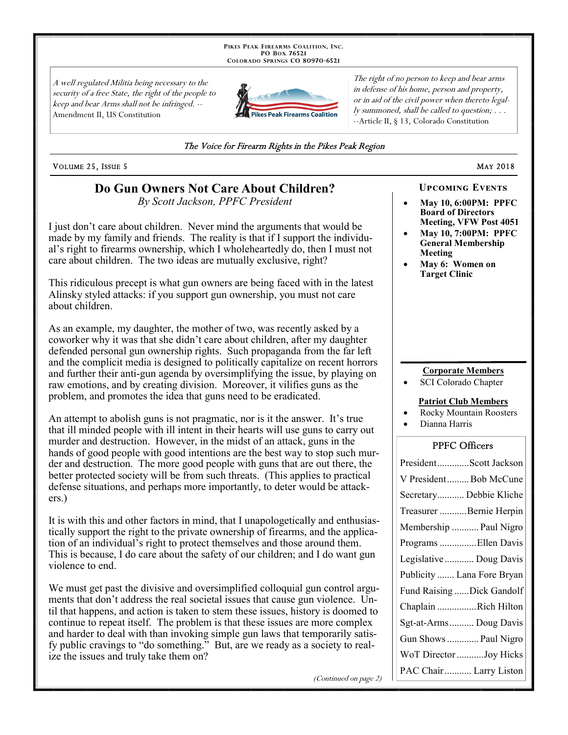PIKES PEAK FIREARMS COALITION, INC. PO Box 76521 COLORADO SPRINGS CO 80970-6521

A well regulated Militia being necessary to the security of a free State, the right of the people to keep and bear Arms shall not be infringed. --Amendment II, US Constitution



The right of no person to keep and bear arms in defense of his home, person and property, or in aid of the civil power when thereto legally summoned, shall be called to question; . . . --Article II, § 13, Colorado Constitution

#### The Voice for Firearm Rights in the Pikes Peak Region

VOLUME 25, ISSUE 5

## Do Gun Owners Not Care About Children?

By Scott Jackson, PPFC President

I just don't care about children. Never mind the arguments that would be made by my family and friends. The reality is that if I support the individual's right to firearms ownership, which I whole heartedly do, then I must not care about children. The two ideas are mutually exclusive, right?

This ridiculous precept is what gun owners are being faced with in the latest Alinsky styled attacks: if you support gun ownership, you must not care about children.

As an example, my daughter, the mother of two, was recently asked by a coworker why it was that she didn't care about children, after my daughter defended personal gun ownership rights. Such propaganda from the far left and the complicit media is designed to politically capitalize on recent horrors and further their anti-gun agenda by oversimplifying the issue, by playing on raw emotions, and by creating division. Moreover, it vilifies guns as the problem, and promotes the idea that guns need to be eradicated.

An attempt to abolish guns is not pragmatic, nor is it the answer. It's true that ill minded people with ill intent in their hearts will use guns to carry out murder and destruction. However, in the midst of an attack, guns in the hands of good people with good intentions are the best way to stop such murder and destruction. The more good people with guns that are out there, the better protected society will be from such threats. (This applies to practical defense situations, and perhaps more importantly, to deter would be attack $ers.$ )

It is with this and other factors in mind, that I unapologetically and enthusiastically support the right to the private ownership of firearms, and the application of an individual's right to protect themselves and those around them. This is because, I do care about the safety of our children; and I do want gun violence to end.

We must get past the divisive and oversimplified colloquial gun control arguments that don't address the real societal issues that cause gun violence. Until that happens, and action is taken to stem these issues, history is doomed to continue to repeat itself. The problem is that these issues are more complex and harder to deal with than invoking simple gun laws that temporarily satisfy public cravings to "do something." But, are we ready as a society to realize the issues and truly take them on?

(Continued on page 2)

### **UPCOMING EVENTS**

**MAY 2018** 

- May 10, 6:00PM: PPFC **Board of Directors Meeting, VFW Post 4051**
- May 10, 7:00PM: PPFC **General Membership** Meeting
- May 6: Women on **Target Clinic**

#### **Corporate Members**

SCI Colorado Chapter

#### **Patriot Club Members**

- **Rocky Mountain Roosters**
- Dianna Harris

#### **PPFC Officers**

| PresidentScott Jackson     |
|----------------------------|
| V PresidentBob McCune      |
| Secretary Debbie Kliche    |
| Treasurer Bernie Herpin    |
| Membership  Paul Nigro     |
| Programs Ellen Davis       |
| Legislative  Doug Davis    |
| Publicity  Lana Fore Bryan |
| Fund Raising Dick Gandolf  |
| Chaplain Rich Hilton       |
| Sgt-at-Arms Doug Davis     |
| Gun Shows  Paul Nigro      |
|                            |
| WoT Director Joy Hicks     |